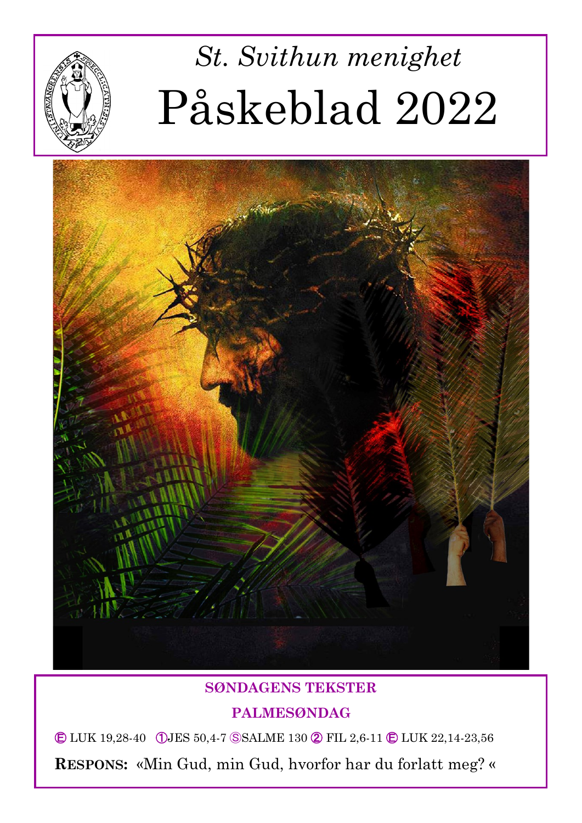

# *St. Svithun menighet* Påskeblad 2022



#### **SØNDAGENS TEKSTER**

#### **PALMESØNDAG**

Ⓔ LUK 19,28-40 ①JES 50,4-7 ⓈSALME 130 ② FIL 2,6-11 Ⓔ LUK 22,14-23,56

**RESPONS:** «Min Gud, min Gud, hvorfor har du forlatt meg? «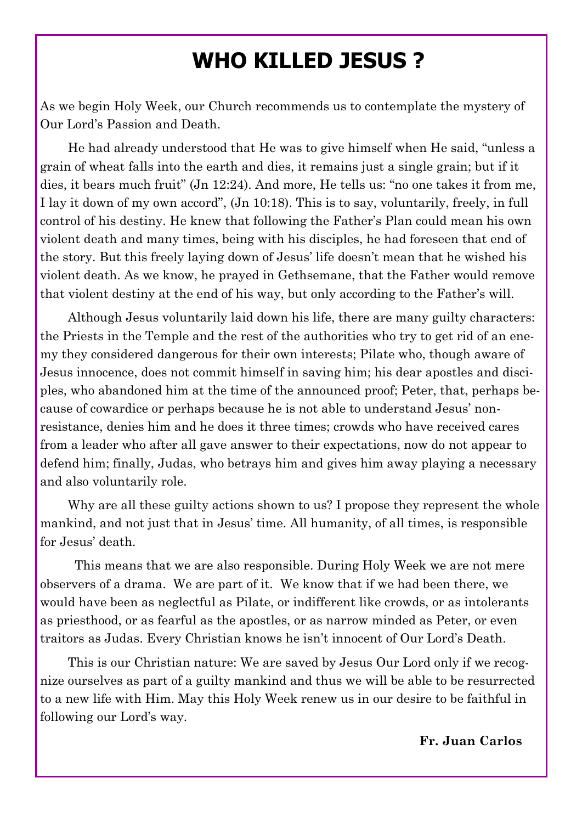# **WHO KILLED JESUS ?**

As we begin Holy Week, our Church recommends us to contemplate the mystery of Our Lord's Passion and Death.

He had already understood that He was to give himself when He said, "unless a grain of wheat falls into the earth and dies, it remains just a single grain; but if it dies, it bears much fruit" (Jn 12:24). And more, He tells us: "no one takes it from me, I lay it down of my own accord", (Jn 10:18). This is to say, voluntarily, freely, in full control of his destiny. He knew that following the Father's Plan could mean his own violent death and many times, being with his disciples, he had foreseen that end of the story. But this freely laying down of Jesus' life doesn't mean that he wished his violent death. As we know, he prayed in Gethsemane, that the Father would remove that violent destiny at the end of his way, but only according to the Father's will.

Although Jesus voluntarily laid down his life, there are many guilty characters: the Priests in the Temple and the rest of the authorities who try to get rid of an enemy they considered dangerous for their own interests; Pilate who, though aware of Jesus innocence, does not commit himself in saving him; his dear apostles and disciples, who abandoned him at the time of the announced proof; Peter, that, perhaps because of cowardice or perhaps because he is not able to understand Jesus' nonresistance, denies him and he does it three times; crowds who have received cares from a leader who after all gave answer to their expectations, now do not appear to defend him; finally, Judas, who betrays him and gives him away playing a necessary and also voluntarily role.

Why are all these guilty actions shown to us? I propose they represent the whole mankind, and not just that in Jesus' time. All humanity, of all times, is responsible for Jesus' death.

This means that we are also responsible. During Holy Week we are not mere observers of a drama. We are part of it. We know that if we had been there, we would have been as neglectful as Pilate, or indifferent like crowds, or as intolerants as priesthood, or as fearful as the apostles, or as narrow minded as Peter, or even traitors as Judas. Every Christian knows he isn't innocent of Our Lord's Death.

This is our Christian nature: We are saved by Jesus Our Lord only if we recognize ourselves as part of a guilty mankind and thus we will be able to be resurrected to a new life with Him. May this Holy Week renew us in our desire to be faithful in following our Lord's way.

 **Fr. Juan Carlos**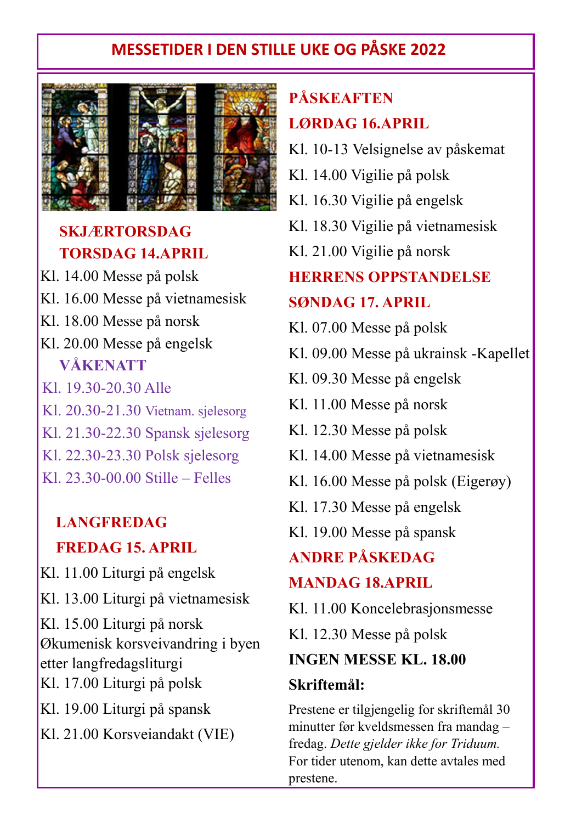## **MESSETIDER I DEN STILLE UKE OG PÅSKE 2022**



#### **SKJÆRTORSDAG TORSDAG 14.APRIL**

 Kl. 18.00 Messe på norsk Kl. 14.00 Messe på polsk Kl. 16.00 Messe på vietnamesisk Kl. 20.00 Messe på engelsk **VÅKENATT**  Kl. 19.30-20.30 Alle Kl. 20.30-21.30 Vietnam. sjelesorg Kl. 21.30-22.30 Spansk sjelesorg Kl. 22.30-23.30 Polsk sjelesorg

Kl. 23.30-00.00 Stille – Felles

### **LANGFREDAG FREDAG 15. APRIL**

Kl. 11.00 Liturgi på engelsk Kl. 13.00 Liturgi på vietnamesisk Kl. 15.00 Liturgi på norsk Økumenisk korsveivandring i byen etter langfredagsliturgi Kl. 17.00 Liturgi på polsk Kl. 19.00 Liturgi på spansk

Kl. 21.00 Korsveiandakt (VIE)

# **PÅSKEAFTEN LØRDAG 16.APRIL**

- Kl. 10-13 Velsignelse av påskemat
- Kl. 14.00 Vigilie på polsk
- Kl. 16.30 Vigilie på engelsk
- Kl. 18.30 Vigilie på vietnamesisk
- Kl. 21.00 Vigilie på norsk

#### **HERRENS OPPSTANDELSE**

#### **SØNDAG 17. APRIL**

- Kl. 07.00 Messe på polsk
- Kl. 09.00 Messe på ukrainsk -Kapellet
- Kl. 09.30 Messe på engelsk
- Kl. 11.00 Messe på norsk
- Kl. 12.30 Messe på polsk
- Kl. 14.00 Messe på vietnamesisk
- Kl. 16.00 Messe på polsk (Eigerøy)
- Kl. 17.30 Messe på engelsk
- Kl. 19.00 Messe på spansk

#### **ANDRE PÅSKEDAG**

#### **MANDAG 18.APRIL**

Kl. 11.00 Koncelebrasjonsmesse

Kl. 12.30 Messe på polsk

#### **INGEN MESSE KL. 18.00**

#### **Skriftemål:**

Prestene er tilgjengelig for skriftemål 30 minutter før kveldsmessen fra mandag – fredag. *Dette gjelder ikke for Triduum.*  For tider utenom, kan dette avtales med prestene.